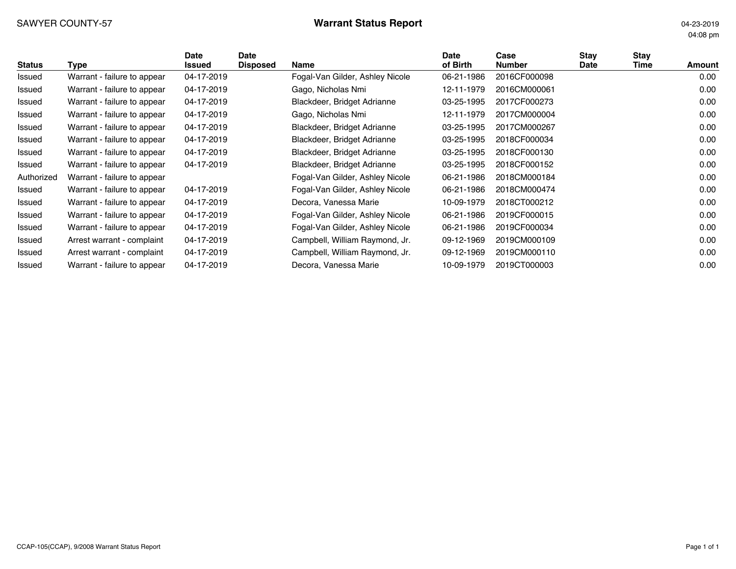# SAWYER COUNTY-57 **Warrant Status Report** 04-23-2019

04:08 pm

| <b>Status</b> | Type                        | Date<br>Issued | <b>Date</b><br><b>Disposed</b> | Name                            | <b>Date</b><br>of Birth | Case<br><b>Number</b> | Stav<br>Date | Stay<br>Time | Amount |
|---------------|-----------------------------|----------------|--------------------------------|---------------------------------|-------------------------|-----------------------|--------------|--------------|--------|
| Issued        | Warrant - failure to appear | 04-17-2019     |                                | Fogal-Van Gilder, Ashley Nicole | 06-21-1986              | 2016CF000098          |              |              | 0.00   |
| Issued        | Warrant - failure to appear | 04-17-2019     |                                | Gago, Nicholas Nmi              | 12-11-1979              | 2016CM000061          |              |              | 0.00   |
| Issued        | Warrant - failure to appear | 04-17-2019     |                                | Blackdeer, Bridget Adrianne     | 03-25-1995              | 2017CF000273          |              |              | 0.00   |
| Issued        | Warrant - failure to appear | 04-17-2019     |                                | Gago, Nicholas Nmi              | 12-11-1979              | 2017CM000004          |              |              | 0.00   |
| Issued        | Warrant - failure to appear | 04-17-2019     |                                | Blackdeer, Bridget Adrianne     | 03-25-1995              | 2017CM000267          |              |              | 0.00   |
| Issued        | Warrant - failure to appear | 04-17-2019     |                                | Blackdeer, Bridget Adrianne     | 03-25-1995              | 2018CF000034          |              |              | 0.00   |
| Issued        | Warrant - failure to appear | 04-17-2019     |                                | Blackdeer, Bridget Adrianne     | 03-25-1995              | 2018CF000130          |              |              | 0.00   |
| Issued        | Warrant - failure to appear | 04-17-2019     |                                | Blackdeer, Bridget Adrianne     | 03-25-1995              | 2018CF000152          |              |              | 0.00   |
| Authorized    | Warrant - failure to appear |                |                                | Fogal-Van Gilder, Ashley Nicole | 06-21-1986              | 2018CM000184          |              |              | 0.00   |
| Issued        | Warrant - failure to appear | 04-17-2019     |                                | Fogal-Van Gilder, Ashley Nicole | 06-21-1986              | 2018CM000474          |              |              | 0.00   |
| Issued        | Warrant - failure to appear | 04-17-2019     |                                | Decora, Vanessa Marie           | 10-09-1979              | 2018CT000212          |              |              | 0.00   |
| Issued        | Warrant - failure to appear | 04-17-2019     |                                | Fogal-Van Gilder, Ashley Nicole | 06-21-1986              | 2019CF000015          |              |              | 0.00   |
| Issued        | Warrant - failure to appear | 04-17-2019     |                                | Fogal-Van Gilder, Ashley Nicole | 06-21-1986              | 2019CF000034          |              |              | 0.00   |
| Issued        | Arrest warrant - complaint  | 04-17-2019     |                                | Campbell, William Raymond, Jr.  | 09-12-1969              | 2019CM000109          |              |              | 0.00   |
| Issued        | Arrest warrant - complaint  | 04-17-2019     |                                | Campbell, William Raymond, Jr.  | 09-12-1969              | 2019CM000110          |              |              | 0.00   |
| Issued        | Warrant - failure to appear | 04-17-2019     |                                | Decora, Vanessa Marie           | 10-09-1979              | 2019CT000003          |              |              | 0.00   |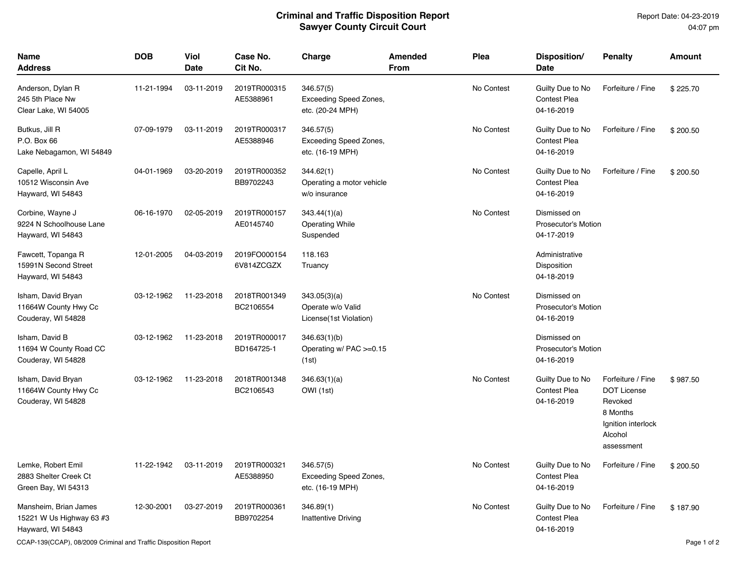Report Date: 04-23-2019 04:07 pm

| <b>Name</b><br><b>Address</b>                                          | <b>DOB</b> | Viol<br><b>Date</b> | Case No.<br>Cit No.        | Charge                                                      | <b>Amended</b><br>From | <b>Plea</b> | Disposition/<br><b>Date</b>                              | <b>Penalty</b>                                                                                                | <b>Amount</b> |
|------------------------------------------------------------------------|------------|---------------------|----------------------------|-------------------------------------------------------------|------------------------|-------------|----------------------------------------------------------|---------------------------------------------------------------------------------------------------------------|---------------|
| Anderson, Dylan R<br>245 5th Place Nw<br>Clear Lake, WI 54005          | 11-21-1994 | 03-11-2019          | 2019TR000315<br>AE5388961  | 346.57(5)<br>Exceeding Speed Zones,<br>etc. (20-24 MPH)     |                        | No Contest  | Guilty Due to No<br><b>Contest Plea</b><br>04-16-2019    | Forfeiture / Fine                                                                                             | \$225.70      |
| Butkus, Jill R<br>P.O. Box 66<br>Lake Nebagamon, WI 54849              | 07-09-1979 | 03-11-2019          | 2019TR000317<br>AE5388946  | 346.57(5)<br>Exceeding Speed Zones,<br>etc. (16-19 MPH)     |                        | No Contest  | Guilty Due to No<br><b>Contest Plea</b><br>04-16-2019    | Forfeiture / Fine                                                                                             | \$200.50      |
| Capelle, April L<br>10512 Wisconsin Ave<br>Hayward, WI 54843           | 04-01-1969 | 03-20-2019          | 2019TR000352<br>BB9702243  | 344.62(1)<br>Operating a motor vehicle<br>w/o insurance     |                        | No Contest  | Guilty Due to No<br><b>Contest Plea</b><br>04-16-2019    | Forfeiture / Fine                                                                                             | \$200.50      |
| Corbine, Wayne J<br>9224 N Schoolhouse Lane<br>Hayward, WI 54843       | 06-16-1970 | 02-05-2019          | 2019TR000157<br>AE0145740  | 343.44(1)(a)<br><b>Operating While</b><br>Suspended         |                        | No Contest  | Dismissed on<br><b>Prosecutor's Motion</b><br>04-17-2019 |                                                                                                               |               |
| Fawcett, Topanga R<br>15991N Second Street<br>Hayward, WI 54843        | 12-01-2005 | 04-03-2019          | 2019FO000154<br>6V814ZCGZX | 118.163<br>Truancy                                          |                        |             | Administrative<br>Disposition<br>04-18-2019              |                                                                                                               |               |
| Isham, David Bryan<br>11664W County Hwy Cc<br>Couderay, WI 54828       | 03-12-1962 | 11-23-2018          | 2018TR001349<br>BC2106554  | 343.05(3)(a)<br>Operate w/o Valid<br>License(1st Violation) |                        | No Contest  | Dismissed on<br><b>Prosecutor's Motion</b><br>04-16-2019 |                                                                                                               |               |
| Isham, David B<br>11694 W County Road CC<br>Couderay, WI 54828         | 03-12-1962 | 11-23-2018          | 2019TR000017<br>BD164725-1 | 346.63(1)(b)<br>Operating $w/$ PAC $>=$ 0.15<br>(1st)       |                        |             | Dismissed on<br><b>Prosecutor's Motion</b><br>04-16-2019 |                                                                                                               |               |
| Isham, David Bryan<br>11664W County Hwy Cc<br>Couderay, WI 54828       | 03-12-1962 | 11-23-2018          | 2018TR001348<br>BC2106543  | 346.63(1)(a)<br>OWI (1st)                                   |                        | No Contest  | Guilty Due to No<br><b>Contest Plea</b><br>04-16-2019    | Forfeiture / Fine<br><b>DOT License</b><br>Revoked<br>8 Months<br>Ignition interlock<br>Alcohol<br>assessment | \$987.50      |
| Lemke, Robert Emil<br>2883 Shelter Creek Ct<br>Green Bay, WI 54313     | 11-22-1942 | 03-11-2019          | 2019TR000321<br>AE5388950  | 346.57(5)<br>Exceeding Speed Zones,<br>etc. (16-19 MPH)     |                        | No Contest  | Guilty Due to No<br><b>Contest Plea</b><br>04-16-2019    | Forfeiture / Fine                                                                                             | \$200.50      |
| Mansheim, Brian James<br>15221 W Us Highway 63 #3<br>Hayward, WI 54843 | 12-30-2001 | 03-27-2019          | 2019TR000361<br>BB9702254  | 346.89(1)<br>Inattentive Driving                            |                        | No Contest  | Guilty Due to No<br><b>Contest Plea</b><br>04-16-2019    | Forfeiture / Fine                                                                                             | \$187.90      |

CCAP-139(CCAP), 08/2009 Criminal and Traffic Disposition Report **Page 1 of 2** and 2012 of 2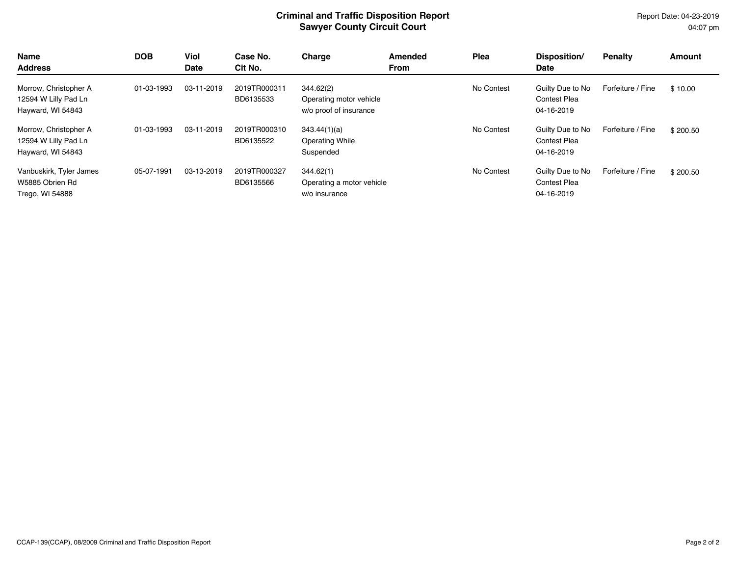Report Date: 04-23-2019 04:07 pm

| <b>Name</b><br><b>Address</b>                                      | <b>DOB</b> | Viol<br><b>Date</b> | Case No.<br>Cit No.       | Charge                                                         | Amended<br><b>From</b> | Plea       | Disposition/<br>Date                                  | <b>Penalty</b>    | <b>Amount</b> |
|--------------------------------------------------------------------|------------|---------------------|---------------------------|----------------------------------------------------------------|------------------------|------------|-------------------------------------------------------|-------------------|---------------|
| Morrow, Christopher A<br>12594 W Lilly Pad Ln<br>Hayward, WI 54843 | 01-03-1993 | 03-11-2019          | 2019TR000311<br>BD6135533 | 344.62(2)<br>Operating motor vehicle<br>w/o proof of insurance |                        | No Contest | Guilty Due to No<br><b>Contest Plea</b><br>04-16-2019 | Forfeiture / Fine | \$10.00       |
| Morrow, Christopher A<br>12594 W Lilly Pad Ln<br>Hayward, WI 54843 | 01-03-1993 | 03-11-2019          | 2019TR000310<br>BD6135522 | 343.44(1)(a)<br><b>Operating While</b><br>Suspended            |                        | No Contest | Guilty Due to No<br><b>Contest Plea</b><br>04-16-2019 | Forfeiture / Fine | \$200.50      |
| Vanbuskirk, Tyler James<br>W5885 Obrien Rd<br>Trego, WI 54888      | 05-07-1991 | 03-13-2019          | 2019TR000327<br>BD6135566 | 344.62(1)<br>Operating a motor vehicle<br>w/o insurance        |                        | No Contest | Guilty Due to No<br><b>Contest Plea</b><br>04-16-2019 | Forfeiture / Fine | \$200.50      |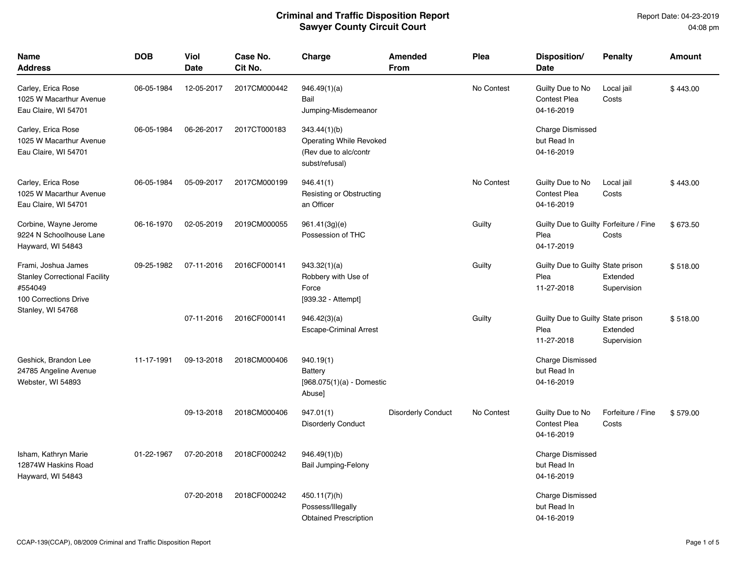| <b>Name</b><br><b>Address</b>                                                                                        | <b>DOB</b> | Viol<br><b>Date</b> | Case No.<br>Cit No. | Charge                                                                                    | <b>Amended</b><br><b>From</b> | Plea       | Disposition/<br>Date                                         | <b>Penalty</b>             | <b>Amount</b> |
|----------------------------------------------------------------------------------------------------------------------|------------|---------------------|---------------------|-------------------------------------------------------------------------------------------|-------------------------------|------------|--------------------------------------------------------------|----------------------------|---------------|
| Carley, Erica Rose<br>1025 W Macarthur Avenue<br>Eau Claire, WI 54701                                                | 06-05-1984 | 12-05-2017          | 2017CM000442        | 946.49(1)(a)<br>Bail<br>Jumping-Misdemeanor                                               |                               | No Contest | Guilty Due to No<br><b>Contest Plea</b><br>04-16-2019        | Local jail<br>Costs        | \$443.00      |
| Carley, Erica Rose<br>1025 W Macarthur Avenue<br>Eau Claire, WI 54701                                                | 06-05-1984 | 06-26-2017          | 2017CT000183        | 343.44(1)(b)<br><b>Operating While Revoked</b><br>(Rev due to alc/contr<br>subst/refusal) |                               |            | <b>Charge Dismissed</b><br>but Read In<br>04-16-2019         |                            |               |
| Carley, Erica Rose<br>1025 W Macarthur Avenue<br>Eau Claire, WI 54701                                                | 06-05-1984 | 05-09-2017          | 2017CM000199        | 946.41(1)<br>Resisting or Obstructing<br>an Officer                                       |                               | No Contest | Guilty Due to No<br><b>Contest Plea</b><br>04-16-2019        | Local jail<br>Costs        | \$443.00      |
| Corbine, Wayne Jerome<br>9224 N Schoolhouse Lane<br>Hayward, WI 54843                                                | 06-16-1970 | 02-05-2019          | 2019CM000055        | 961.41(3g)(e)<br>Possession of THC                                                        |                               | Guilty     | Guilty Due to Guilty Forfeiture / Fine<br>Plea<br>04-17-2019 | Costs                      | \$673.50      |
| Frami, Joshua James<br><b>Stanley Correctional Facility</b><br>#554049<br>100 Corrections Drive<br>Stanley, WI 54768 | 09-25-1982 | 07-11-2016          | 2016CF000141        | 943.32(1)(a)<br>Robbery with Use of<br>Force<br>[939.32 - Attempt]                        |                               | Guilty     | Guilty Due to Guilty State prison<br>Plea<br>11-27-2018      | Extended<br>Supervision    | \$518.00      |
|                                                                                                                      |            | 07-11-2016          | 2016CF000141        | 946.42(3)(a)<br><b>Escape-Criminal Arrest</b>                                             |                               | Guilty     | Guilty Due to Guilty State prison<br>Plea<br>11-27-2018      | Extended<br>Supervision    | \$518.00      |
| Geshick, Brandon Lee<br>24785 Angeline Avenue<br>Webster, WI 54893                                                   | 11-17-1991 | 09-13-2018          | 2018CM000406        | 940.19(1)<br>Battery<br>$[968.075(1)(a) - Domestic$<br>Abuse]                             |                               |            | <b>Charge Dismissed</b><br>but Read In<br>04-16-2019         |                            |               |
|                                                                                                                      |            | 09-13-2018          | 2018CM000406        | 947.01(1)<br><b>Disorderly Conduct</b>                                                    | <b>Disorderly Conduct</b>     | No Contest | Guilty Due to No<br><b>Contest Plea</b><br>04-16-2019        | Forfeiture / Fine<br>Costs | \$579.00      |
| Isham, Kathryn Marie<br>12874W Haskins Road<br>Hayward, WI 54843                                                     | 01-22-1967 | 07-20-2018          | 2018CF000242        | 946.49(1)(b)<br><b>Bail Jumping-Felony</b>                                                |                               |            | <b>Charge Dismissed</b><br>but Read In<br>04-16-2019         |                            |               |
|                                                                                                                      |            | 07-20-2018          | 2018CF000242        | 450.11(7)(h)<br>Possess/Illegally<br><b>Obtained Prescription</b>                         |                               |            | <b>Charge Dismissed</b><br>but Read In<br>04-16-2019         |                            |               |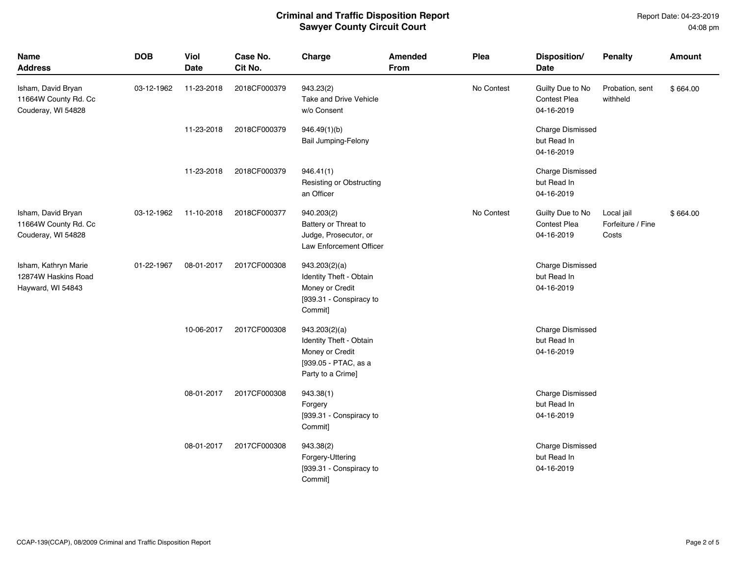Report Date: 04-23-2019 04:08 pm

| <b>Name</b><br><b>Address</b>                                    | <b>DOB</b> | Viol<br><b>Date</b> | Case No.<br>Cit No. | Charge                                                                                                   | Amended<br>From | Plea       | Disposition/<br>Date                                  | <b>Penalty</b>                           | Amount   |
|------------------------------------------------------------------|------------|---------------------|---------------------|----------------------------------------------------------------------------------------------------------|-----------------|------------|-------------------------------------------------------|------------------------------------------|----------|
| Isham, David Bryan<br>11664W County Rd. Cc<br>Couderay, WI 54828 | 03-12-1962 | 11-23-2018          | 2018CF000379        | 943.23(2)<br>Take and Drive Vehicle<br>w/o Consent                                                       |                 | No Contest | Guilty Due to No<br><b>Contest Plea</b><br>04-16-2019 | Probation, sent<br>withheld              | \$664.00 |
|                                                                  |            | 11-23-2018          | 2018CF000379        | 946.49(1)(b)<br>Bail Jumping-Felony                                                                      |                 |            | Charge Dismissed<br>but Read In<br>04-16-2019         |                                          |          |
|                                                                  |            | 11-23-2018          | 2018CF000379        | 946.41(1)<br>Resisting or Obstructing<br>an Officer                                                      |                 |            | Charge Dismissed<br>but Read In<br>04-16-2019         |                                          |          |
| Isham, David Bryan<br>11664W County Rd. Cc<br>Couderay, WI 54828 | 03-12-1962 | 11-10-2018          | 2018CF000377        | 940.203(2)<br>Battery or Threat to<br>Judge, Prosecutor, or<br>Law Enforcement Officer                   |                 | No Contest | Guilty Due to No<br><b>Contest Plea</b><br>04-16-2019 | Local jail<br>Forfeiture / Fine<br>Costs | \$664.00 |
| Isham, Kathryn Marie<br>12874W Haskins Road<br>Hayward, WI 54843 | 01-22-1967 | 08-01-2017          | 2017CF000308        | 943.203(2)(a)<br>Identity Theft - Obtain<br>Money or Credit<br>[939.31 - Conspiracy to<br>Commit]        |                 |            | Charge Dismissed<br>but Read In<br>04-16-2019         |                                          |          |
|                                                                  |            | 10-06-2017          | 2017CF000308        | 943.203(2)(a)<br>Identity Theft - Obtain<br>Money or Credit<br>[939.05 - PTAC, as a<br>Party to a Crime] |                 |            | Charge Dismissed<br>but Read In<br>04-16-2019         |                                          |          |
|                                                                  |            | 08-01-2017          | 2017CF000308        | 943.38(1)<br>Forgery<br>[939.31 - Conspiracy to<br>Commit]                                               |                 |            | Charge Dismissed<br>but Read In<br>04-16-2019         |                                          |          |
|                                                                  |            | 08-01-2017          | 2017CF000308        | 943.38(2)<br>Forgery-Uttering<br>[939.31 - Conspiracy to<br>Commit]                                      |                 |            | Charge Dismissed<br>but Read In<br>04-16-2019         |                                          |          |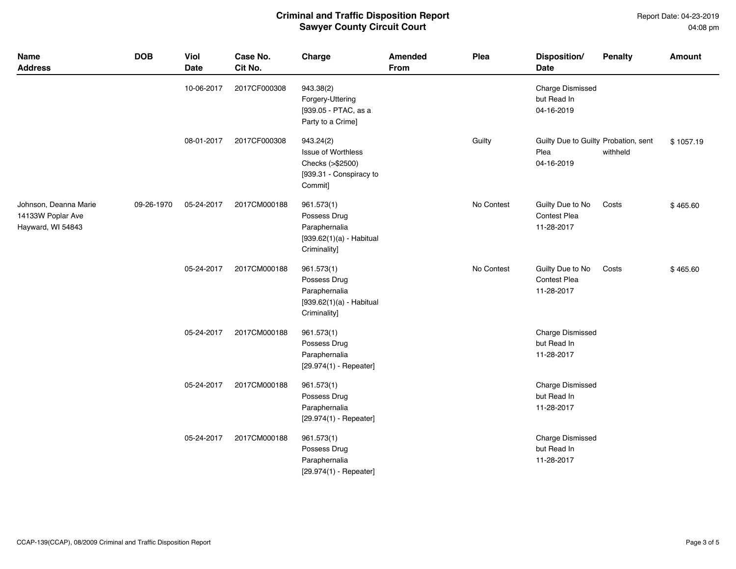Report Date: 04-23-2019 04:08 pm

| <b>Name</b><br><b>Address</b>                                   | <b>DOB</b> | <b>Viol</b><br>Date | Case No.<br>Cit No. | Charge                                                                                           | <b>Amended</b><br>From | Plea       | Disposition/<br><b>Date</b>                                | <b>Penalty</b> | <b>Amount</b> |
|-----------------------------------------------------------------|------------|---------------------|---------------------|--------------------------------------------------------------------------------------------------|------------------------|------------|------------------------------------------------------------|----------------|---------------|
|                                                                 |            | 10-06-2017          | 2017CF000308        | 943.38(2)<br>Forgery-Uttering<br>[939.05 - PTAC, as a<br>Party to a Crime]                       |                        |            | Charge Dismissed<br>but Read In<br>04-16-2019              |                |               |
|                                                                 |            | 08-01-2017          | 2017CF000308        | 943.24(2)<br><b>Issue of Worthless</b><br>Checks (>\$2500)<br>[939.31 - Conspiracy to<br>Commit] |                        | Guilty     | Guilty Due to Guilty Probation, sent<br>Plea<br>04-16-2019 | withheld       | \$1057.19     |
| Johnson, Deanna Marie<br>14133W Poplar Ave<br>Hayward, WI 54843 | 09-26-1970 | 05-24-2017          | 2017CM000188        | 961.573(1)<br>Possess Drug<br>Paraphernalia<br>$[939.62(1)(a) - Habitual$<br>Criminality]        |                        | No Contest | Guilty Due to No<br>Contest Plea<br>11-28-2017             | Costs          | \$465.60      |
|                                                                 |            | 05-24-2017          | 2017CM000188        | 961.573(1)<br>Possess Drug<br>Paraphernalia<br>$[939.62(1)(a) - Habitual$<br>Criminality]        |                        | No Contest | Guilty Due to No<br>Contest Plea<br>11-28-2017             | Costs          | \$465.60      |
|                                                                 |            | 05-24-2017          | 2017CM000188        | 961.573(1)<br>Possess Drug<br>Paraphernalia<br>$[29.974(1) - Repeated]$                          |                        |            | Charge Dismissed<br>but Read In<br>11-28-2017              |                |               |
|                                                                 |            | 05-24-2017          | 2017CM000188        | 961.573(1)<br>Possess Drug<br>Paraphernalia<br>$[29.974(1) - Repeated]$                          |                        |            | <b>Charge Dismissed</b><br>but Read In<br>11-28-2017       |                |               |
|                                                                 |            | 05-24-2017          | 2017CM000188        | 961.573(1)<br>Possess Drug<br>Paraphernalia<br>$[29.974(1) - Repeated]$                          |                        |            | Charge Dismissed<br>but Read In<br>11-28-2017              |                |               |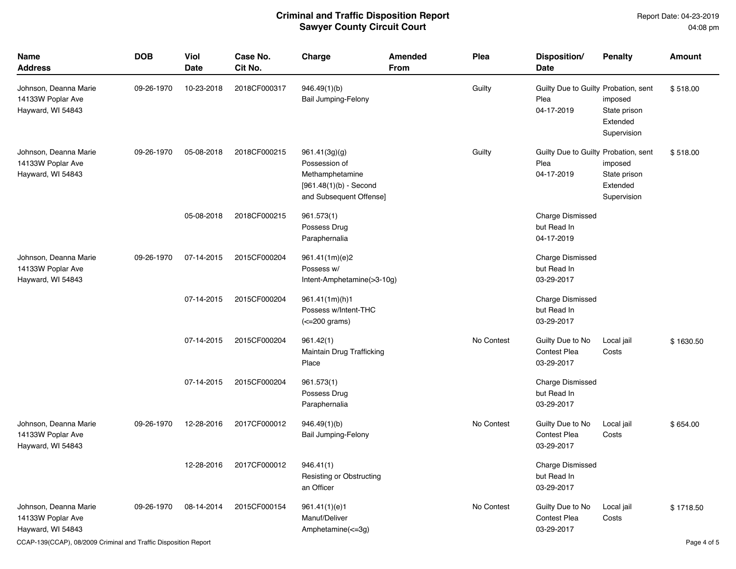Report Date: 04-23-2019 04:08 pm

| <b>Name</b><br><b>Address</b>                                   | <b>DOB</b> | Viol<br>Date | Case No.<br>Cit No. | Charge                                                                                                   | <b>Amended</b><br><b>From</b> | Plea       | Disposition/<br>Date                                       | <b>Penalty</b>                                     | <b>Amount</b> |
|-----------------------------------------------------------------|------------|--------------|---------------------|----------------------------------------------------------------------------------------------------------|-------------------------------|------------|------------------------------------------------------------|----------------------------------------------------|---------------|
| Johnson, Deanna Marie<br>14133W Poplar Ave<br>Hayward, WI 54843 | 09-26-1970 | 10-23-2018   | 2018CF000317        | 946.49(1)(b)<br><b>Bail Jumping-Felony</b>                                                               |                               | Guilty     | Guilty Due to Guilty Probation, sent<br>Plea<br>04-17-2019 | imposed<br>State prison<br>Extended<br>Supervision | \$518.00      |
| Johnson, Deanna Marie<br>14133W Poplar Ave<br>Hayward, WI 54843 | 09-26-1970 | 05-08-2018   | 2018CF000215        | 961.41(3g)(g)<br>Possession of<br>Methamphetamine<br>$[961.48(1)(b) - Second$<br>and Subsequent Offense] |                               | Guilty     | Guilty Due to Guilty Probation, sent<br>Plea<br>04-17-2019 | imposed<br>State prison<br>Extended<br>Supervision | \$518.00      |
|                                                                 |            | 05-08-2018   | 2018CF000215        | 961.573(1)<br>Possess Drug<br>Paraphernalia                                                              |                               |            | <b>Charge Dismissed</b><br>but Read In<br>04-17-2019       |                                                    |               |
| Johnson, Deanna Marie<br>14133W Poplar Ave<br>Hayward, WI 54843 | 09-26-1970 | 07-14-2015   | 2015CF000204        | 961.41(1m)(e)2<br>Possess w/<br>Intent-Amphetamine(>3-10g)                                               |                               |            | <b>Charge Dismissed</b><br>but Read In<br>03-29-2017       |                                                    |               |
|                                                                 |            | 07-14-2015   | 2015CF000204        | 961.41(1m)(h)1<br>Possess w/Intent-THC<br>$\left($ <=200 grams)                                          |                               |            | <b>Charge Dismissed</b><br>but Read In<br>03-29-2017       |                                                    |               |
|                                                                 |            | 07-14-2015   | 2015CF000204        | 961.42(1)<br>Maintain Drug Trafficking<br>Place                                                          |                               | No Contest | Guilty Due to No<br><b>Contest Plea</b><br>03-29-2017      | Local jail<br>Costs                                | \$1630.50     |
|                                                                 |            | 07-14-2015   | 2015CF000204        | 961.573(1)<br>Possess Drug<br>Paraphernalia                                                              |                               |            | <b>Charge Dismissed</b><br>but Read In<br>03-29-2017       |                                                    |               |
| Johnson, Deanna Marie<br>14133W Poplar Ave<br>Hayward, WI 54843 | 09-26-1970 | 12-28-2016   | 2017CF000012        | 946.49(1)(b)<br><b>Bail Jumping-Felony</b>                                                               |                               | No Contest | Guilty Due to No<br><b>Contest Plea</b><br>03-29-2017      | Local jail<br>Costs                                | \$654.00      |
|                                                                 |            | 12-28-2016   | 2017CF000012        | 946.41(1)<br>Resisting or Obstructing<br>an Officer                                                      |                               |            | <b>Charge Dismissed</b><br>but Read In<br>03-29-2017       |                                                    |               |
| Johnson, Deanna Marie<br>14133W Poplar Ave<br>Hayward, WI 54843 | 09-26-1970 | 08-14-2014   | 2015CF000154        | 961.41(1)(e)1<br>Manuf/Deliver<br>Amphetamine(<=3g)                                                      |                               | No Contest | Guilty Due to No<br><b>Contest Plea</b><br>03-29-2017      | Local jail<br>Costs                                | \$1718.50     |

CCAP-139(CCAP), 08/2009 Criminal and Traffic Disposition Report Page 4 of 5